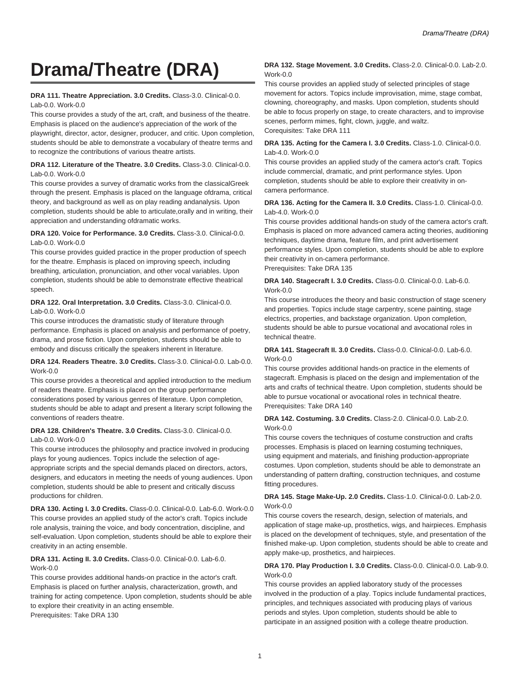# **Drama/Theatre (DRA)**

#### **DRA 111. Theatre Appreciation. 3.0 Credits.** Class-3.0. Clinical-0.0. Lab-0.0. Work-0.0

This course provides a study of the art, craft, and business of the theatre. Emphasis is placed on the audience's appreciation of the work of the playwright, director, actor, designer, producer, and critic. Upon completion, students should be able to demonstrate a vocabulary of theatre terms and to recognize the contributions of various theatre artists.

## **DRA 112. Literature of the Theatre. 3.0 Credits.** Class-3.0. Clinical-0.0. Lab-0.0. Work-0.0

This course provides a survey of dramatic works from the classicalGreek through the present. Emphasis is placed on the language ofdrama, critical theory, and background as well as on play reading andanalysis. Upon completion, students should be able to articulate,orally and in writing, their appreciation and understanding ofdramatic works.

#### **DRA 120. Voice for Performance. 3.0 Credits.** Class-3.0. Clinical-0.0. Lab-0.0. Work-0.0

This course provides guided practice in the proper production of speech for the theatre. Emphasis is placed on improving speech, including breathing, articulation, pronunciation, and other vocal variables. Upon completion, students should be able to demonstrate effective theatrical speech.

#### **DRA 122. Oral Interpretation. 3.0 Credits.** Class-3.0. Clinical-0.0. Lab-0.0. Work-0.0

This course introduces the dramatistic study of literature through performance. Emphasis is placed on analysis and performance of poetry, drama, and prose fiction. Upon completion, students should be able to embody and discuss critically the speakers inherent in literature.

## **DRA 124. Readers Theatre. 3.0 Credits.** Class-3.0. Clinical-0.0. Lab-0.0. Work-0.0

This course provides a theoretical and applied introduction to the medium of readers theatre. Emphasis is placed on the group performance considerations posed by various genres of literature. Upon completion, students should be able to adapt and present a literary script following the conventions of readers theatre.

#### **DRA 128. Children's Theatre. 3.0 Credits.** Class-3.0. Clinical-0.0. Lab-0.0. Work-0.0

This course introduces the philosophy and practice involved in producing plays for young audiences. Topics include the selection of ageappropriate scripts and the special demands placed on directors, actors, designers, and educators in meeting the needs of young audiences. Upon completion, students should be able to present and critically discuss productions for children.

**DRA 130. Acting I. 3.0 Credits.** Class-0.0. Clinical-0.0. Lab-6.0. Work-0.0 This course provides an applied study of the actor's craft. Topics include role analysis, training the voice, and body concentration, discipline, and self-evaluation. Upon completion, students should be able to explore their creativity in an acting ensemble.

## **DRA 131. Acting II. 3.0 Credits.** Class-0.0. Clinical-0.0. Lab-6.0. Work-0.0

This course provides additional hands-on practice in the actor's craft. Emphasis is placed on further analysis, characterization, growth, and training for acting competence. Upon completion, students should be able to explore their creativity in an acting ensemble. Prerequisites: Take DRA 130

## **DRA 132. Stage Movement. 3.0 Credits.** Class-2.0. Clinical-0.0. Lab-2.0. Work-0.0

This course provides an applied study of selected principles of stage movement for actors. Topics include improvisation, mime, stage combat, clowning, choreography, and masks. Upon completion, students should be able to focus properly on stage, to create characters, and to improvise scenes, perform mimes, fight, clown, juggle, and waltz. Corequisites: Take DRA 111

#### **DRA 135. Acting for the Camera I. 3.0 Credits.** Class-1.0. Clinical-0.0. Lab-4.0. Work-0.0

This course provides an applied study of the camera actor's craft. Topics include commercial, dramatic, and print performance styles. Upon completion, students should be able to explore their creativity in oncamera performance.

# **DRA 136. Acting for the Camera II. 3.0 Credits.** Class-1.0. Clinical-0.0. Lab-4.0. Work-0.0

This course provides additional hands-on study of the camera actor's craft. Emphasis is placed on more advanced camera acting theories, auditioning techniques, daytime drama, feature film, and print advertisement performance styles. Upon completion, students should be able to explore their creativity in on-camera performance.

Prerequisites: Take DRA 135

# **DRA 140. Stagecraft I. 3.0 Credits.** Class-0.0. Clinical-0.0. Lab-6.0. Work-0.0

This course introduces the theory and basic construction of stage scenery and properties. Topics include stage carpentry, scene painting, stage electrics, properties, and backstage organization. Upon completion, students should be able to pursue vocational and avocational roles in technical theatre.

## **DRA 141. Stagecraft II. 3.0 Credits.** Class-0.0. Clinical-0.0. Lab-6.0. Work-0.0

This course provides additional hands-on practice in the elements of stagecraft. Emphasis is placed on the design and implementation of the arts and crafts of technical theatre. Upon completion, students should be able to pursue vocational or avocational roles in technical theatre. Prerequisites: Take DRA 140

## **DRA 142. Costuming. 3.0 Credits.** Class-2.0. Clinical-0.0. Lab-2.0. Work-0.0

This course covers the techniques of costume construction and crafts processes. Emphasis is placed on learning costuming techniques, using equipment and materials, and finishing production-appropriate costumes. Upon completion, students should be able to demonstrate an understanding of pattern drafting, construction techniques, and costume fitting procedures.

## **DRA 145. Stage Make-Up. 2.0 Credits.** Class-1.0. Clinical-0.0. Lab-2.0. Work-0.0

This course covers the research, design, selection of materials, and application of stage make-up, prosthetics, wigs, and hairpieces. Emphasis is placed on the development of techniques, style, and presentation of the finished make-up. Upon completion, students should be able to create and apply make-up, prosthetics, and hairpieces.

## **DRA 170. Play Production I. 3.0 Credits.** Class-0.0. Clinical-0.0. Lab-9.0. Work-0.0

This course provides an applied laboratory study of the processes involved in the production of a play. Topics include fundamental practices, principles, and techniques associated with producing plays of various periods and styles. Upon completion, students should be able to participate in an assigned position with a college theatre production.